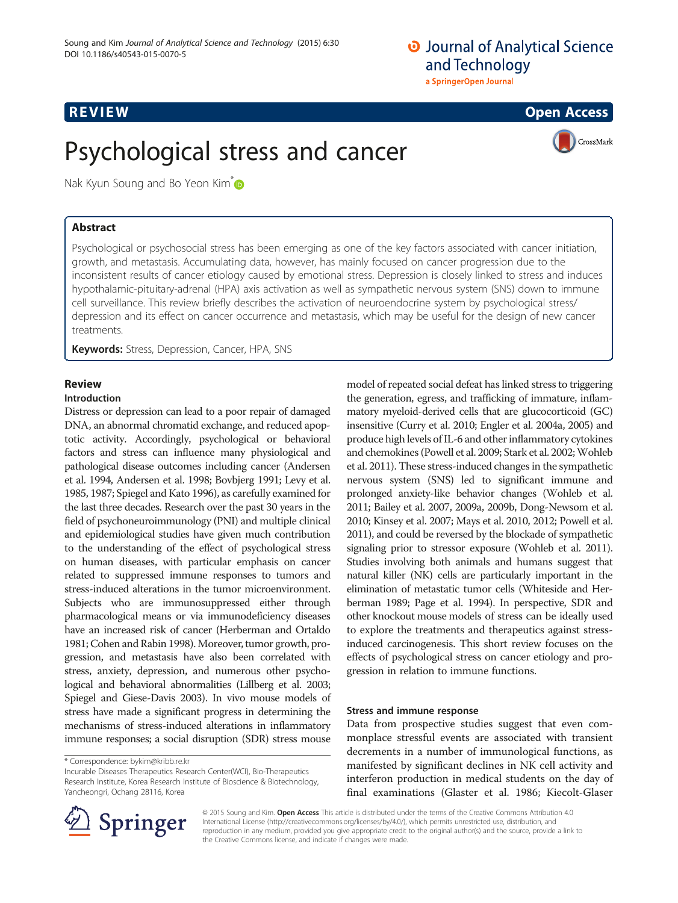# **O** Journal of Analytical Science and Technology a SpringerOpen Journal



# Psychological stress and cancer



Nak Kyun Soung and Bo Yeon Kim<sup>\*</sup>

# Abstract

Psychological or psychosocial stress has been emerging as one of the key factors associated with cancer initiation, growth, and metastasis. Accumulating data, however, has mainly focused on cancer progression due to the inconsistent results of cancer etiology caused by emotional stress. Depression is closely linked to stress and induces hypothalamic-pituitary-adrenal (HPA) axis activation as well as sympathetic nervous system (SNS) down to immune cell surveillance. This review briefly describes the activation of neuroendocrine system by psychological stress/ depression and its effect on cancer occurrence and metastasis, which may be useful for the design of new cancer treatments.

Keywords: Stress, Depression, Cancer, HPA, SNS

# Review

### Introduction

Distress or depression can lead to a poor repair of damaged DNA, an abnormal chromatid exchange, and reduced apoptotic activity. Accordingly, psychological or behavioral factors and stress can influence many physiological and pathological disease outcomes including cancer (Andersen et al. [1994](#page-4-0), Andersen et al. [1998](#page-3-0); Bovbjerg [1991](#page-4-0); Levy et al. [1985, 1987](#page-4-0); Spiegel and Kato [1996\)](#page-5-0), as carefully examined for the last three decades. Research over the past 30 years in the field of psychoneuroimmunology (PNI) and multiple clinical and epidemiological studies have given much contribution to the understanding of the effect of psychological stress on human diseases, with particular emphasis on cancer related to suppressed immune responses to tumors and stress-induced alterations in the tumor microenvironment. Subjects who are immunosuppressed either through pharmacological means or via immunodeficiency diseases have an increased risk of cancer (Herberman and Ortaldo [1981;](#page-4-0) Cohen and Rabin [1998](#page-4-0)). Moreover, tumor growth, progression, and metastasis have also been correlated with stress, anxiety, depression, and numerous other psychological and behavioral abnormalities (Lillberg et al. [2003](#page-4-0); Spiegel and Giese-Davis [2003](#page-5-0)). In vivo mouse models of stress have made a significant progress in determining the mechanisms of stress-induced alterations in inflammatory immune responses; a social disruption (SDR) stress mouse

Incurable Diseases Therapeutics Research Center(WCI), Bio-Therapeutics Research Institute, Korea Research Institute of Bioscience & Biotechnology, Yancheongri, Ochang 28116, Korea

model of repeated social defeat has linked stress to triggering the generation, egress, and trafficking of immature, inflammatory myeloid-derived cells that are glucocorticoid (GC) insensitive (Curry et al. [2010](#page-4-0); Engler et al. [2004a](#page-4-0), [2005](#page-4-0)) and produce high levels of IL-6 and other inflammatory cytokines and chemokines (Powell et al. [2009;](#page-5-0) Stark et al. [2002](#page-5-0); Wohleb et al. [2011](#page-5-0)). These stress-induced changes in the sympathetic nervous system (SNS) led to significant immune and prolonged anxiety-like behavior changes (Wohleb et al. [2011;](#page-5-0) Bailey et al. [2007](#page-4-0), [2009a](#page-4-0), [2009b](#page-4-0), Dong-Newsom et al. [2010;](#page-4-0) Kinsey et al. [2007](#page-4-0); Mays et al. [2010, 2012](#page-4-0); Powell et al. [2011\)](#page-5-0), and could be reversed by the blockade of sympathetic signaling prior to stressor exposure (Wohleb et al. [2011](#page-5-0)). Studies involving both animals and humans suggest that natural killer (NK) cells are particularly important in the elimination of metastatic tumor cells (Whiteside and Herberman [1989](#page-5-0); Page et al. [1994\)](#page-5-0). In perspective, SDR and other knockout mouse models of stress can be ideally used to explore the treatments and therapeutics against stressinduced carcinogenesis. This short review focuses on the effects of psychological stress on cancer etiology and progression in relation to immune functions.

## Stress and immune response

Data from prospective studies suggest that even commonplace stressful events are associated with transient decrements in a number of immunological functions, as manifested by significant declines in NK cell activity and interferon production in medical students on the day of final examinations (Glaster et al. [1986;](#page-4-0) Kiecolt-Glaser



© 2015 Soung and Kim. Open Access This article is distributed under the terms of the Creative Commons Attribution 4.0 International License ([http://creativecommons.org/licenses/by/4.0/\)](http://creativecommons.org/licenses/by/4.0/), which permits unrestricted use, distribution, and reproduction in any medium, provided you give appropriate credit to the original author(s) and the source, provide a link to the Creative Commons license, and indicate if changes were made.

<sup>\*</sup> Correspondence: [bykim@kribb.re.kr](mailto:bykim@kribb.re.kr)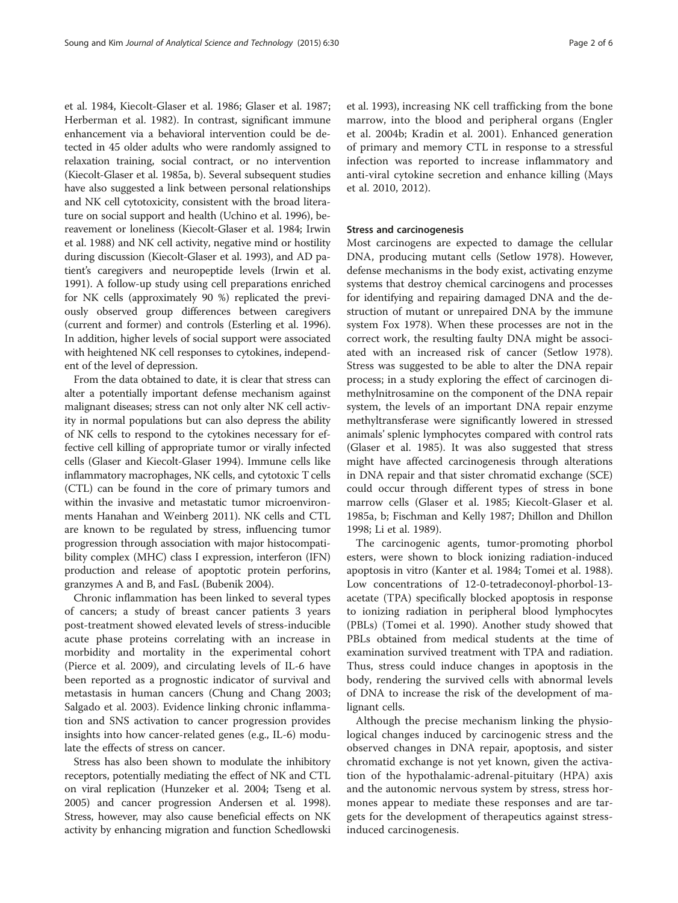et al. [1984,](#page-4-0) Kiecolt-Glaser et al. [1986](#page-4-0); Glaser et al. [1987](#page-4-0); Herberman et al. [1982](#page-4-0)). In contrast, significant immune enhancement via a behavioral intervention could be detected in 45 older adults who were randomly assigned to relaxation training, social contract, or no intervention (Kiecolt-Glaser et al. [1985a](#page-4-0), [b\)](#page-4-0). Several subsequent studies have also suggested a link between personal relationships and NK cell cytotoxicity, consistent with the broad literature on social support and health (Uchino et al. [1996\)](#page-5-0), bereavement or loneliness (Kiecolt-Glaser et al. [1984](#page-4-0); Irwin et al. [1988\)](#page-4-0) and NK cell activity, negative mind or hostility during discussion (Kiecolt-Glaser et al. [1993\)](#page-4-0), and AD patient's caregivers and neuropeptide levels (Irwin et al. [1991\)](#page-4-0). A follow-up study using cell preparations enriched for NK cells (approximately 90 %) replicated the previously observed group differences between caregivers (current and former) and controls (Esterling et al. [1996](#page-4-0)). In addition, higher levels of social support were associated with heightened NK cell responses to cytokines, independent of the level of depression.

From the data obtained to date, it is clear that stress can alter a potentially important defense mechanism against malignant diseases; stress can not only alter NK cell activity in normal populations but can also depress the ability of NK cells to respond to the cytokines necessary for effective cell killing of appropriate tumor or virally infected cells (Glaser and Kiecolt-Glaser [1994\)](#page-4-0). Immune cells like inflammatory macrophages, NK cells, and cytotoxic T cells (CTL) can be found in the core of primary tumors and within the invasive and metastatic tumor microenvironments Hanahan and Weinberg [2011\)](#page-4-0). NK cells and CTL are known to be regulated by stress, influencing tumor progression through association with major histocompatibility complex (MHC) class I expression, interferon (IFN) production and release of apoptotic protein perforins, granzymes A and B, and FasL (Bubenik [2004](#page-4-0)).

Chronic inflammation has been linked to several types of cancers; a study of breast cancer patients 3 years post-treatment showed elevated levels of stress-inducible acute phase proteins correlating with an increase in morbidity and mortality in the experimental cohort (Pierce et al. [2009](#page-5-0)), and circulating levels of IL-6 have been reported as a prognostic indicator of survival and metastasis in human cancers (Chung and Chang [2003](#page-4-0); Salgado et al. [2003](#page-5-0)). Evidence linking chronic inflammation and SNS activation to cancer progression provides insights into how cancer-related genes (e.g., IL-6) modulate the effects of stress on cancer.

Stress has also been shown to modulate the inhibitory receptors, potentially mediating the effect of NK and CTL on viral replication (Hunzeker et al. [2004;](#page-4-0) Tseng et al. [2005\)](#page-5-0) and cancer progression Andersen et al. [1998](#page-3-0)). Stress, however, may also cause beneficial effects on NK activity by enhancing migration and function Schedlowski et al. [1993\)](#page-5-0), increasing NK cell trafficking from the bone marrow, into the blood and peripheral organs (Engler et al. [2004b](#page-4-0); Kradin et al. [2001\)](#page-4-0). Enhanced generation of primary and memory CTL in response to a stressful infection was reported to increase inflammatory and anti-viral cytokine secretion and enhance killing (Mays et al. [2010, 2012\)](#page-4-0).

#### Stress and carcinogenesis

Most carcinogens are expected to damage the cellular DNA, producing mutant cells (Setlow [1978\)](#page-5-0). However, defense mechanisms in the body exist, activating enzyme systems that destroy chemical carcinogens and processes for identifying and repairing damaged DNA and the destruction of mutant or unrepaired DNA by the immune system Fox [1978\)](#page-4-0). When these processes are not in the correct work, the resulting faulty DNA might be associated with an increased risk of cancer (Setlow [1978](#page-5-0)). Stress was suggested to be able to alter the DNA repair process; in a study exploring the effect of carcinogen dimethylnitrosamine on the component of the DNA repair system, the levels of an important DNA repair enzyme methyltransferase were significantly lowered in stressed animals' splenic lymphocytes compared with control rats (Glaser et al. [1985](#page-4-0)). It was also suggested that stress might have affected carcinogenesis through alterations in DNA repair and that sister chromatid exchange (SCE) could occur through different types of stress in bone marrow cells (Glaser et al. [1985;](#page-4-0) Kiecolt-Glaser et al. [1985a, b;](#page-4-0) Fischman and Kelly [1987;](#page-4-0) Dhillon and Dhillon [1998](#page-4-0); Li et al. [1989\)](#page-4-0).

The carcinogenic agents, tumor-promoting phorbol esters, were shown to block ionizing radiation-induced apoptosis in vitro (Kanter et al. [1984;](#page-4-0) Tomei et al. [1988](#page-5-0)). Low concentrations of 12-0-tetradeconoyl-phorbol-13 acetate (TPA) specifically blocked apoptosis in response to ionizing radiation in peripheral blood lymphocytes (PBLs) (Tomei et al. [1990](#page-5-0)). Another study showed that PBLs obtained from medical students at the time of examination survived treatment with TPA and radiation. Thus, stress could induce changes in apoptosis in the body, rendering the survived cells with abnormal levels of DNA to increase the risk of the development of malignant cells.

Although the precise mechanism linking the physiological changes induced by carcinogenic stress and the observed changes in DNA repair, apoptosis, and sister chromatid exchange is not yet known, given the activation of the hypothalamic-adrenal-pituitary (HPA) axis and the autonomic nervous system by stress, stress hormones appear to mediate these responses and are targets for the development of therapeutics against stressinduced carcinogenesis.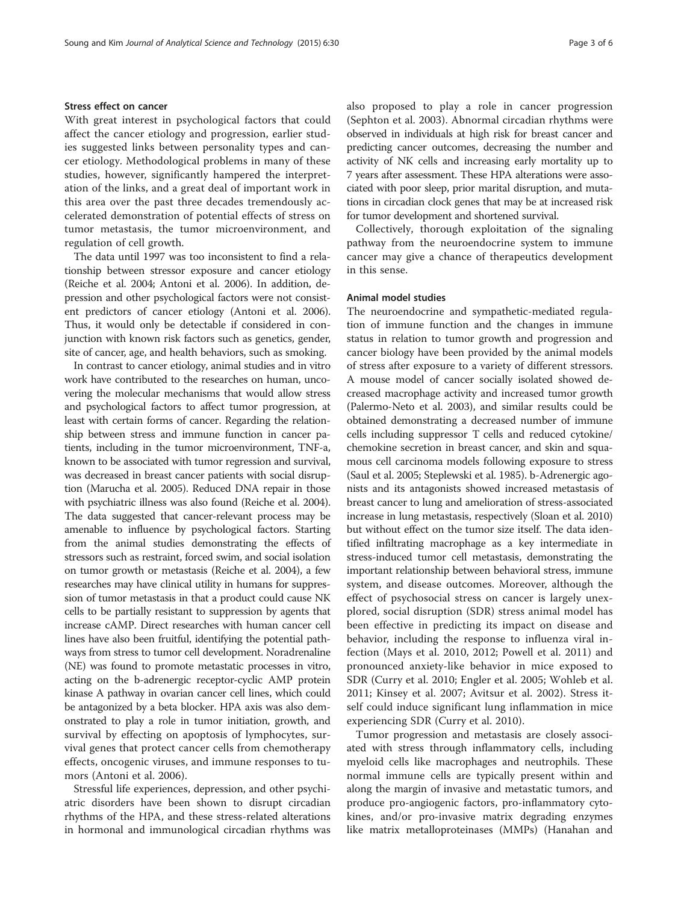#### Stress effect on cancer

With great interest in psychological factors that could affect the cancer etiology and progression, earlier studies suggested links between personality types and cancer etiology. Methodological problems in many of these studies, however, significantly hampered the interpretation of the links, and a great deal of important work in this area over the past three decades tremendously accelerated demonstration of potential effects of stress on tumor metastasis, the tumor microenvironment, and regulation of cell growth.

The data until 1997 was too inconsistent to find a relationship between stressor exposure and cancer etiology (Reiche et al. [2004](#page-4-0); Antoni et al. [2006](#page-4-0)). In addition, depression and other psychological factors were not consistent predictors of cancer etiology (Antoni et al. [2006](#page-4-0)). Thus, it would only be detectable if considered in conjunction with known risk factors such as genetics, gender, site of cancer, age, and health behaviors, such as smoking.

In contrast to cancer etiology, animal studies and in vitro work have contributed to the researches on human, uncovering the molecular mechanisms that would allow stress and psychological factors to affect tumor progression, at least with certain forms of cancer. Regarding the relationship between stress and immune function in cancer patients, including in the tumor microenvironment, TNF-a, known to be associated with tumor regression and survival, was decreased in breast cancer patients with social disruption (Marucha et al. [2005](#page-4-0)). Reduced DNA repair in those with psychiatric illness was also found (Reiche et al. [2004](#page-5-0)). The data suggested that cancer-relevant process may be amenable to influence by psychological factors. Starting from the animal studies demonstrating the effects of stressors such as restraint, forced swim, and social isolation on tumor growth or metastasis (Reiche et al. [2004\)](#page-5-0), a few researches may have clinical utility in humans for suppression of tumor metastasis in that a product could cause NK cells to be partially resistant to suppression by agents that increase cAMP. Direct researches with human cancer cell lines have also been fruitful, identifying the potential pathways from stress to tumor cell development. Noradrenaline (NE) was found to promote metastatic processes in vitro, acting on the b-adrenergic receptor-cyclic AMP protein kinase A pathway in ovarian cancer cell lines, which could be antagonized by a beta blocker. HPA axis was also demonstrated to play a role in tumor initiation, growth, and survival by effecting on apoptosis of lymphocytes, survival genes that protect cancer cells from chemotherapy effects, oncogenic viruses, and immune responses to tumors (Antoni et al. [2006](#page-4-0)).

Stressful life experiences, depression, and other psychiatric disorders have been shown to disrupt circadian rhythms of the HPA, and these stress-related alterations in hormonal and immunological circadian rhythms was also proposed to play a role in cancer progression (Sephton et al. [2003](#page-5-0)). Abnormal circadian rhythms were observed in individuals at high risk for breast cancer and predicting cancer outcomes, decreasing the number and activity of NK cells and increasing early mortality up to 7 years after assessment. These HPA alterations were associated with poor sleep, prior marital disruption, and mutations in circadian clock genes that may be at increased risk for tumor development and shortened survival.

Collectively, thorough exploitation of the signaling pathway from the neuroendocrine system to immune cancer may give a chance of therapeutics development in this sense.

#### Animal model studies

The neuroendocrine and sympathetic-mediated regulation of immune function and the changes in immune status in relation to tumor growth and progression and cancer biology have been provided by the animal models of stress after exposure to a variety of different stressors. A mouse model of cancer socially isolated showed decreased macrophage activity and increased tumor growth (Palermo-Neto et al. [2003\)](#page-5-0), and similar results could be obtained demonstrating a decreased number of immune cells including suppressor T cells and reduced cytokine/ chemokine secretion in breast cancer, and skin and squamous cell carcinoma models following exposure to stress (Saul et al. [2005;](#page-5-0) Steplewski et al. [1985\)](#page-5-0). b-Adrenergic agonists and its antagonists showed increased metastasis of breast cancer to lung and amelioration of stress-associated increase in lung metastasis, respectively (Sloan et al. [2010](#page-5-0)) but without effect on the tumor size itself. The data identified infiltrating macrophage as a key intermediate in stress-induced tumor cell metastasis, demonstrating the important relationship between behavioral stress, immune system, and disease outcomes. Moreover, although the effect of psychosocial stress on cancer is largely unexplored, social disruption (SDR) stress animal model has been effective in predicting its impact on disease and behavior, including the response to influenza viral infection (Mays et al. [2010, 2012;](#page-4-0) Powell et al. [2011\)](#page-5-0) and pronounced anxiety-like behavior in mice exposed to SDR (Curry et al. [2010;](#page-4-0) Engler et al. [2005;](#page-4-0) Wohleb et al. [2011;](#page-5-0) Kinsey et al. [2007;](#page-4-0) Avitsur et al. [2002\)](#page-4-0). Stress itself could induce significant lung inflammation in mice experiencing SDR (Curry et al. [2010](#page-4-0)).

Tumor progression and metastasis are closely associated with stress through inflammatory cells, including myeloid cells like macrophages and neutrophils. These normal immune cells are typically present within and along the margin of invasive and metastatic tumors, and produce pro-angiogenic factors, pro-inflammatory cytokines, and/or pro-invasive matrix degrading enzymes like matrix metalloproteinases (MMPs) (Hanahan and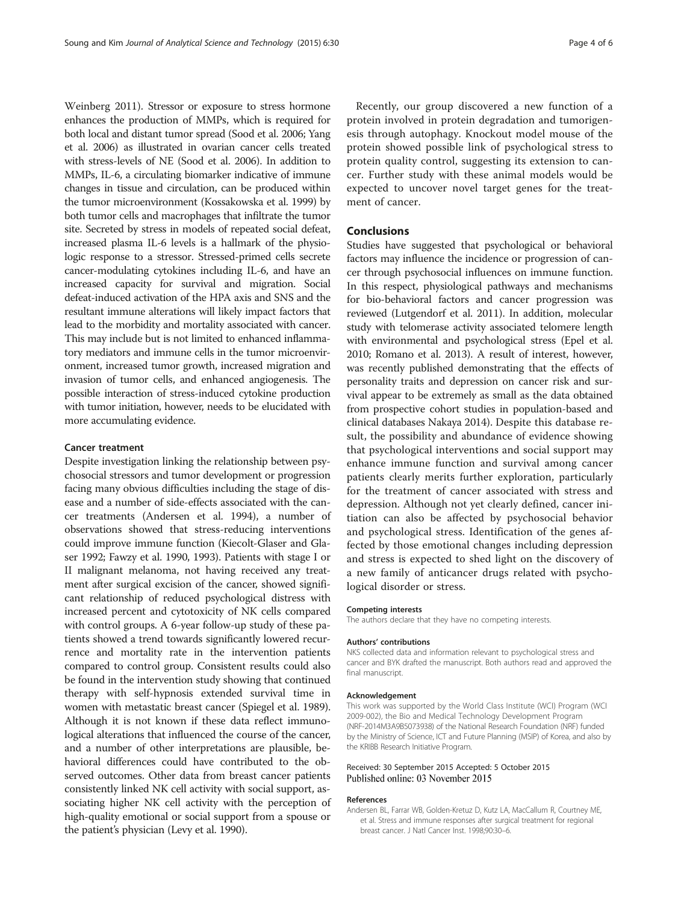<span id="page-3-0"></span>Weinberg [2011\)](#page-4-0). Stressor or exposure to stress hormone enhances the production of MMPs, which is required for both local and distant tumor spread (Sood et al. [2006](#page-5-0); Yang et al. [2006\)](#page-5-0) as illustrated in ovarian cancer cells treated with stress-levels of NE (Sood et al. [2006](#page-5-0)). In addition to MMPs, IL-6, a circulating biomarker indicative of immune changes in tissue and circulation, can be produced within the tumor microenvironment (Kossakowska et al. [1999](#page-4-0)) by both tumor cells and macrophages that infiltrate the tumor site. Secreted by stress in models of repeated social defeat, increased plasma IL-6 levels is a hallmark of the physiologic response to a stressor. Stressed-primed cells secrete cancer-modulating cytokines including IL-6, and have an increased capacity for survival and migration. Social defeat-induced activation of the HPA axis and SNS and the resultant immune alterations will likely impact factors that lead to the morbidity and mortality associated with cancer. This may include but is not limited to enhanced inflammatory mediators and immune cells in the tumor microenvironment, increased tumor growth, increased migration and invasion of tumor cells, and enhanced angiogenesis. The possible interaction of stress-induced cytokine production with tumor initiation, however, needs to be elucidated with more accumulating evidence.

#### Cancer treatment

Despite investigation linking the relationship between psychosocial stressors and tumor development or progression facing many obvious difficulties including the stage of disease and a number of side-effects associated with the cancer treatments (Andersen et al. [1994\)](#page-5-0), a number of observations showed that stress-reducing interventions could improve immune function (Kiecolt-Glaser and Glaser [1992;](#page-4-0) Fawzy et al. [1990, 1993](#page-4-0)). Patients with stage I or II malignant melanoma, not having received any treatment after surgical excision of the cancer, showed significant relationship of reduced psychological distress with increased percent and cytotoxicity of NK cells compared with control groups. A 6-year follow-up study of these patients showed a trend towards significantly lowered recurrence and mortality rate in the intervention patients compared to control group. Consistent results could also be found in the intervention study showing that continued therapy with self-hypnosis extended survival time in women with metastatic breast cancer (Spiegel et al. [1989](#page-5-0)). Although it is not known if these data reflect immunological alterations that influenced the course of the cancer, and a number of other interpretations are plausible, behavioral differences could have contributed to the observed outcomes. Other data from breast cancer patients consistently linked NK cell activity with social support, associating higher NK cell activity with the perception of high-quality emotional or social support from a spouse or the patient's physician (Levy et al. [1990](#page-4-0)).

Recently, our group discovered a new function of a protein involved in protein degradation and tumorigenesis through autophagy. Knockout model mouse of the protein showed possible link of psychological stress to protein quality control, suggesting its extension to cancer. Further study with these animal models would be expected to uncover novel target genes for the treatment of cancer.

#### Conclusions

Studies have suggested that psychological or behavioral factors may influence the incidence or progression of cancer through psychosocial influences on immune function. In this respect, physiological pathways and mechanisms for bio-behavioral factors and cancer progression was reviewed (Lutgendorf et al. [2011](#page-5-0)). In addition, molecular study with telomerase activity associated telomere length with environmental and psychological stress (Epel et al. [2010](#page-4-0); Romano et al. [2013](#page-5-0)). A result of interest, however, was recently published demonstrating that the effects of personality traits and depression on cancer risk and survival appear to be extremely as small as the data obtained from prospective cohort studies in population-based and clinical databases Nakaya [2014\)](#page-4-0). Despite this database result, the possibility and abundance of evidence showing that psychological interventions and social support may enhance immune function and survival among cancer patients clearly merits further exploration, particularly for the treatment of cancer associated with stress and depression. Although not yet clearly defined, cancer initiation can also be affected by psychosocial behavior and psychological stress. Identification of the genes affected by those emotional changes including depression and stress is expected to shed light on the discovery of a new family of anticancer drugs related with psychological disorder or stress.

#### Competing interests

The authors declare that they have no competing interests.

#### Authors' contributions

NKS collected data and information relevant to psychological stress and cancer and BYK drafted the manuscript. Both authors read and approved the final manuscript.

#### Acknowledgement

This work was supported by the World Class Institute (WCI) Program (WCI 2009-002), the Bio and Medical Technology Development Program (NRF-2014M3A9B5073938) of the National Research Foundation (NRF) funded by the Ministry of Science, ICT and Future Planning (MSIP) of Korea, and also by the KRIBB Research Initiative Program.

#### Received: 30 September 2015 Accepted: 5 October 2015 Published online: 03 November 2015

#### References

Andersen BL, Farrar WB, Golden-Kretuz D, Kutz LA, MacCallum R, Courtney ME, et al. Stress and immune responses after surgical treatment for regional breast cancer. J Natl Cancer Inst. 1998;90:30–6.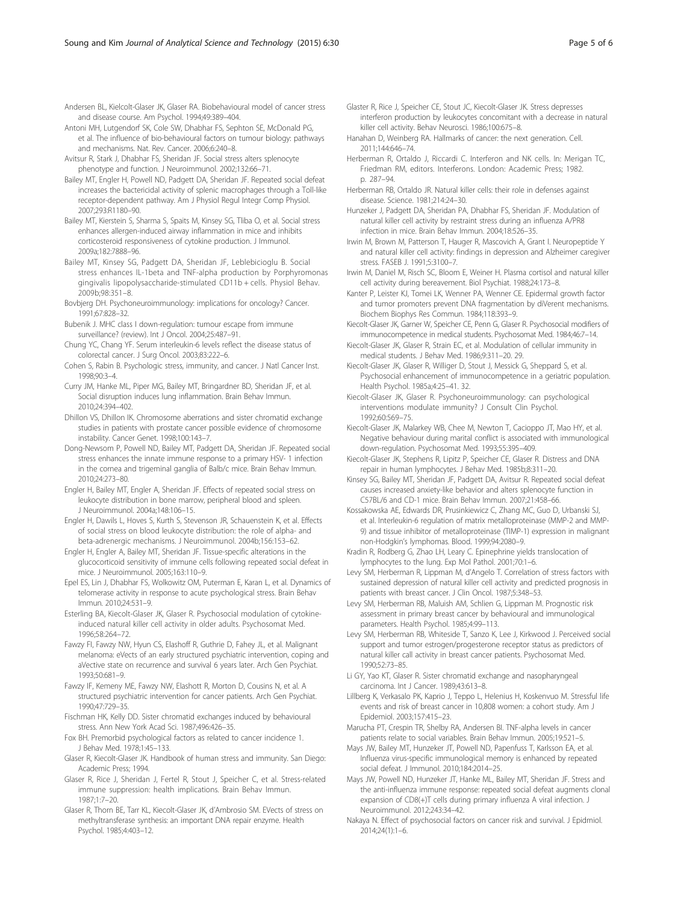<span id="page-4-0"></span>Andersen BL, Kielcolt-Glaser JK, Glaser RA. Biobehavioural model of cancer stress and disease course. Am Psychol. 1994;49:389–404.

- Antoni MH, Lutgendorf SK, Cole SW, Dhabhar FS, Sephton SE, McDonald PG, et al. The influence of bio-behavioural factors on tumour biology: pathways and mechanisms. Nat. Rev. Cancer. 2006;6:240–8.
- Avitsur R, Stark J, Dhabhar FS, Sheridan JF. Social stress alters splenocyte phenotype and function. J Neuroimmunol. 2002;132:66–71.
- Bailey MT, Engler H, Powell ND, Padgett DA, Sheridan JF. Repeated social defeat increases the bactericidal activity of splenic macrophages through a Toll-like receptor-dependent pathway. Am J Physiol Regul Integr Comp Physiol. 2007;293:R1180–90.
- Bailey MT, Kierstein S, Sharma S, Spaits M, Kinsey SG, Tliba O, et al. Social stress enhances allergen-induced airway inflammation in mice and inhibits corticosteroid responsiveness of cytokine production. J Immunol. 2009a;182:7888–96.
- Bailey MT, Kinsey SG, Padgett DA, Sheridan JF, Leblebicioglu B. Social stress enhances IL-1beta and TNF-alpha production by Porphyromonas gingivalis lipopolysaccharide-stimulated CD11b + cells. Physiol Behav. 2009b;98:351–8.
- Bovbjerg DH. Psychoneuroimmunology: implications for oncology? Cancer. 1991;67:828–32.
- Bubenik J. MHC class I down-regulation: tumour escape from immune surveillance? (review). Int J Oncol. 2004;25:487–91.
- Chung YC, Chang YF. Serum interleukin-6 levels reflect the disease status of colorectal cancer. J Surg Oncol. 2003;83:222–6.
- Cohen S, Rabin B. Psychologic stress, immunity, and cancer. J Natl Cancer Inst. 1998;90:3–4.
- Curry JM, Hanke ML, Piper MG, Bailey MT, Bringardner BD, Sheridan JF, et al. Social disruption induces lung inflammation. Brain Behav Immun. 2010;24:394–402.
- Dhillon VS, Dhillon IK. Chromosome aberrations and sister chromatid exchange studies in patients with prostate cancer possible evidence of chromosome instability. Cancer Genet. 1998;100:143–7.
- Dong-Newsom P, Powell ND, Bailey MT, Padgett DA, Sheridan JF. Repeated social stress enhances the innate immune response to a primary HSV- 1 infection in the cornea and trigeminal ganglia of Balb/c mice. Brain Behav Immun. 2010;24:273–80.
- Engler H, Bailey MT, Engler A, Sheridan JF. Effects of repeated social stress on leukocyte distribution in bone marrow, peripheral blood and spleen. J Neuroimmunol. 2004a;148:106–15.
- Engler H, Dawils L, Hoves S, Kurth S, Stevenson JR, Schauenstein K, et al. Effects of social stress on blood leukocyte distribution: the role of alpha- and beta-adrenergic mechanisms. J Neuroimmunol. 2004b;156:153–62.
- Engler H, Engler A, Bailey MT, Sheridan JF. Tissue-specific alterations in the glucocorticoid sensitivity of immune cells following repeated social defeat in mice. J Neuroimmunol. 2005;163:110–9.
- Epel ES, Lin J, Dhabhar FS, Wolkowitz OM, Puterman E, Karan L, et al. Dynamics of telomerase activity in response to acute psychological stress. Brain Behav Immun. 2010;24:531–9.
- Esterling BA, Kiecolt-Glaser JK, Glaser R. Psychosocial modulation of cytokineinduced natural killer cell activity in older adults. Psychosomat Med. 1996;58:264–72.
- Fawzy FI, Fawzy NW, Hyun CS, Elashoff R, Guthrie D, Fahey JL, et al. Malignant melanoma: eVects of an early structured psychiatric intervention, coping and aVective state on recurrence and survival 6 years later. Arch Gen Psychiat. 1993;50:681–9.
- Fawzy IF, Kemeny ME, Fawzy NW, Elashott R, Morton D, Cousins N, et al. A structured psychiatric intervention for cancer patients. Arch Gen Psychiat. 1990;47:729–35.
- Fischman HK, Kelly DD. Sister chromatid exchanges induced by behavioural stress. Ann New York Acad Sci. 1987;496:426–35.
- Fox BH. Premorbid psychological factors as related to cancer incidence 1. J Behav Med. 1978;1:45–133.
- Glaser R, Kiecolt-Glaser JK. Handbook of human stress and immunity. San Diego: Academic Press; 1994.
- Glaser R, Rice J, Sheridan J, Fertel R, Stout J, Speicher C, et al. Stress-related immune suppression: health implications. Brain Behav Immun. 1987;1:7–20.
- Glaser R, Thorn BE, Tarr KL, Kiecolt-Glaser JK, d'Ambrosio SM. EVects of stress on methyltransferase synthesis: an important DNA repair enzyme. Health Psychol. 1985;4:403–12.
- Glaster R, Rice J, Speicher CE, Stout JC, Kiecolt-Glaser JK. Stress depresses interferon production by leukocytes concomitant with a decrease in natural killer cell activity. Behav Neurosci. 1986;100:675–8.
- Hanahan D, Weinberg RA. Hallmarks of cancer: the next generation. Cell. 2011;144:646–74.
- Herberman R, Ortaldo J, Riccardi C. Interferon and NK cells. In: Merigan TC, Friedman RM, editors. Interferons. London: Academic Press; 1982. p. 287–94.
- Herberman RB, Ortaldo JR. Natural killer cells: their role in defenses against disease. Science. 1981;214:24–30.

Hunzeker J, Padgett DA, Sheridan PA, Dhabhar FS, Sheridan JF. Modulation of natural killer cell activity by restraint stress during an influenza A/PR8 infection in mice. Brain Behav Immun. 2004;18:526–35.

- Irwin M, Brown M, Patterson T, Hauger R, Mascovich A, Grant I. Neuropeptide Y and natural killer cell activity: findings in depression and Alzheimer caregiver stress. FASEB J. 1991;5:3100–7.
- Irwin M, Daniel M, Risch SC, Bloom E, Weiner H. Plasma cortisol and natural killer cell activity during bereavement. Biol Psychiat. 1988;24:173–8.
- Kanter P, Leister KJ, Tomei LK, Wenner PA, Wenner CE. Epidermal growth factor and tumor promoters prevent DNA fragmentation by diVerent mechanisms. Biochem Biophys Res Commun. 1984;118:393–9.
- Kiecolt-Glaser JK, Garner W, Speicher CE, Penn G, Glaser R. Psychosocial modifiers of immunocompetence in medical students. Psychosomat Med. 1984;46:7–14.
- Kiecolt-Glaser JK, Glaser R, Strain EC, et al. Modulation of cellular immunity in medical students. J Behav Med. 1986;9:311–20. 29.
- Kiecolt-Glaser JK, Glaser R, Williger D, Stout J, Messick G, Sheppard S, et al. Psychosocial enhancement of immunocompetence in a geriatric population. Health Psychol. 1985a;4:25–41. 32.
- Kiecolt-Glaser JK, Glaser R. Psychoneuroimmunology: can psychological interventions modulate immunity? J Consult Clin Psychol. 1992;60:569–75.
- Kiecolt-Glaser JK, Malarkey WB, Chee M, Newton T, Cacioppo JT, Mao HY, et al. Negative behaviour during marital conflict is associated with immunological down-regulation. Psychosomat Med. 1993;55:395–409.
- Kiecolt-Glaser JK, Stephens R, Lipitz P, Speicher CE, Glaser R. Distress and DNA repair in human lymphocytes. J Behav Med. 1985b;8:311–20.
- Kinsey SG, Bailey MT, Sheridan JF, Padgett DA, Avitsur R. Repeated social defeat causes increased anxiety-like behavior and alters splenocyte function in C57BL/6 and CD-1 mice. Brain Behav Immun. 2007;21:458–66.
- Kossakowska AE, Edwards DR, Prusinkiewicz C, Zhang MC, Guo D, Urbanski SJ, et al. Interleukin-6 regulation of matrix metalloproteinase (MMP-2 and MMP-9) and tissue inhibitor of metalloproteinase (TIMP-1) expression in malignant non-Hodgkin's lymphomas. Blood. 1999;94:2080–9.
- Kradin R, Rodberg G, Zhao LH, Leary C. Epinephrine yields translocation of lymphocytes to the lung. Exp Mol Pathol. 2001;70:1–6.
- Levy SM, Herberman R, Lippman M, d'Angelo T. Correlation of stress factors with sustained depression of natural killer cell activity and predicted prognosis in patients with breast cancer. J Clin Oncol. 1987;5:348–53.
- Levy SM, Herberman RB, Maluish AM, Schlien G, Lippman M. Prognostic risk assessment in primary breast cancer by behavioural and immunological parameters. Health Psychol. 1985;4:99–113.
- Levy SM, Herberman RB, Whiteside T, Sanzo K, Lee J, Kirkwood J. Perceived social support and tumor estrogen/progesterone receptor status as predictors of natural killer call activity in breast cancer patients. Psychosomat Med. 1990;52:73–85.
- Li GY, Yao KT, Glaser R. Sister chromatid exchange and nasopharyngeal carcinoma. Int J Cancer. 1989;43:613–8.
- Lillberg K, Verkasalo PK, Kaprio J, Teppo L, Helenius H, Koskenvuo M. Stressful life events and risk of breast cancer in 10,808 women: a cohort study. Am J Epidemiol. 2003;157:415–23.
- Marucha PT, Crespin TR, Shelby RA, Andersen BI. TNF-alpha levels in cancer patients relate to social variables. Brain Behav Immun. 2005;19:521–5.
- Mays JW, Bailey MT, Hunzeker JT, Powell ND, Papenfuss T, Karlsson EA, et al. Influenza virus-specific immunological memory is enhanced by repeated social defeat. J Immunol. 2010;184:2014–25.
- Mays JW, Powell ND, Hunzeker JT, Hanke ML, Bailey MT, Sheridan JF. Stress and the anti-influenza immune response: repeated social defeat augments clonal expansion of CD8(+)T cells during primary influenza A viral infection. J Neuroimmunol. 2012;243:34–42.
- Nakaya N. Effect of psychosocial factors on cancer risk and survival. J Epidmiol. 2014;24(1):1–6.